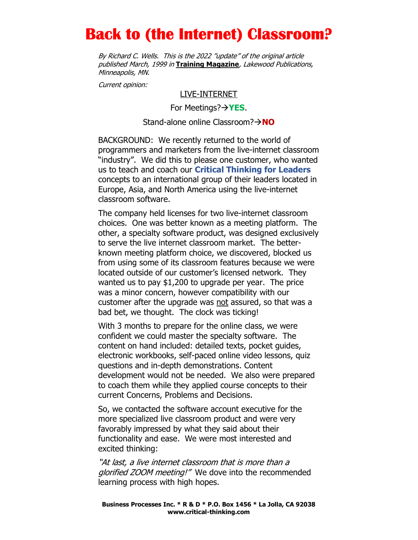# Back to (the Internet) Classroom?

By Richard C. Wells. This is the 2022 "update" of the original article published March, 1999 in Training Magazine, Lakewood Publications, Minneapolis, MN.

Current opinion:

#### LIVE-INTERNET

For Meetings? $\rightarrow$ YES.

#### Stand-alone online Classroom? $\rightarrow$ NO

BACKGROUND: We recently returned to the world of programmers and marketers from the live-internet classroom "industry". We did this to please one customer, who wanted us to teach and coach our Critical Thinking for Leaders concepts to an international group of their leaders located in Europe, Asia, and North America using the live-internet classroom software.

The company held licenses for two live-internet classroom choices. One was better known as a meeting platform. The other, a specialty software product, was designed exclusively to serve the live internet classroom market. The betterknown meeting platform choice, we discovered, blocked us from using some of its classroom features because we were located outside of our customer's licensed network. They wanted us to pay \$1,200 to upgrade per year. The price was a minor concern, however compatibility with our customer after the upgrade was not assured, so that was a bad bet, we thought. The clock was ticking!

With 3 months to prepare for the online class, we were confident we could master the specialty software. The content on hand included: detailed texts, pocket guides, electronic workbooks, self-paced online video lessons, quiz questions and in-depth demonstrations. Content development would not be needed. We also were prepared to coach them while they applied course concepts to their current Concerns, Problems and Decisions.

So, we contacted the software account executive for the more specialized live classroom product and were very favorably impressed by what they said about their functionality and ease. We were most interested and excited thinking:

"At last, a live internet classroom that is more than a glorified ZOOM meeting!" We dove into the recommended learning process with high hopes.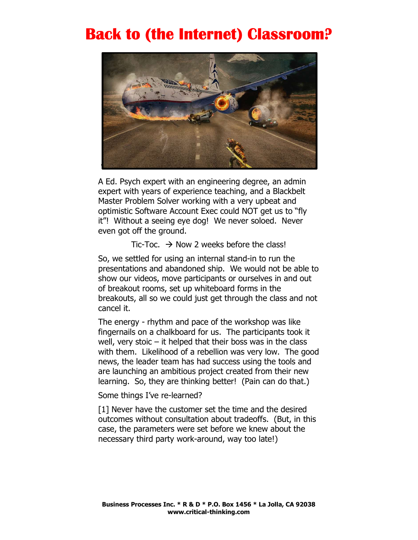### Back to (the Internet) Classroom?



A Ed. Psych expert with an engineering degree, an admin expert with years of experience teaching, and a Blackbelt Master Problem Solver working with a very upbeat and optimistic Software Account Exec could NOT get us to "fly it"! Without a seeing eye dog! We never soloed. Never even got off the ground.

Tic-Toc.  $\rightarrow$  Now 2 weeks before the class!

So, we settled for using an internal stand-in to run the presentations and abandoned ship. We would not be able to show our videos, move participants or ourselves in and out of breakout rooms, set up whiteboard forms in the breakouts, all so we could just get through the class and not cancel it.

The energy - rhythm and pace of the workshop was like fingernails on a chalkboard for us. The participants took it well, very stoic  $-$  it helped that their boss was in the class with them. Likelihood of a rebellion was very low. The good news, the leader team has had success using the tools and are launching an ambitious project created from their new learning. So, they are thinking better! (Pain can do that.)

Some things I've re-learned?

[1] Never have the customer set the time and the desired outcomes without consultation about tradeoffs. (But, in this case, the parameters were set before we knew about the necessary third party work-around, way too late!)